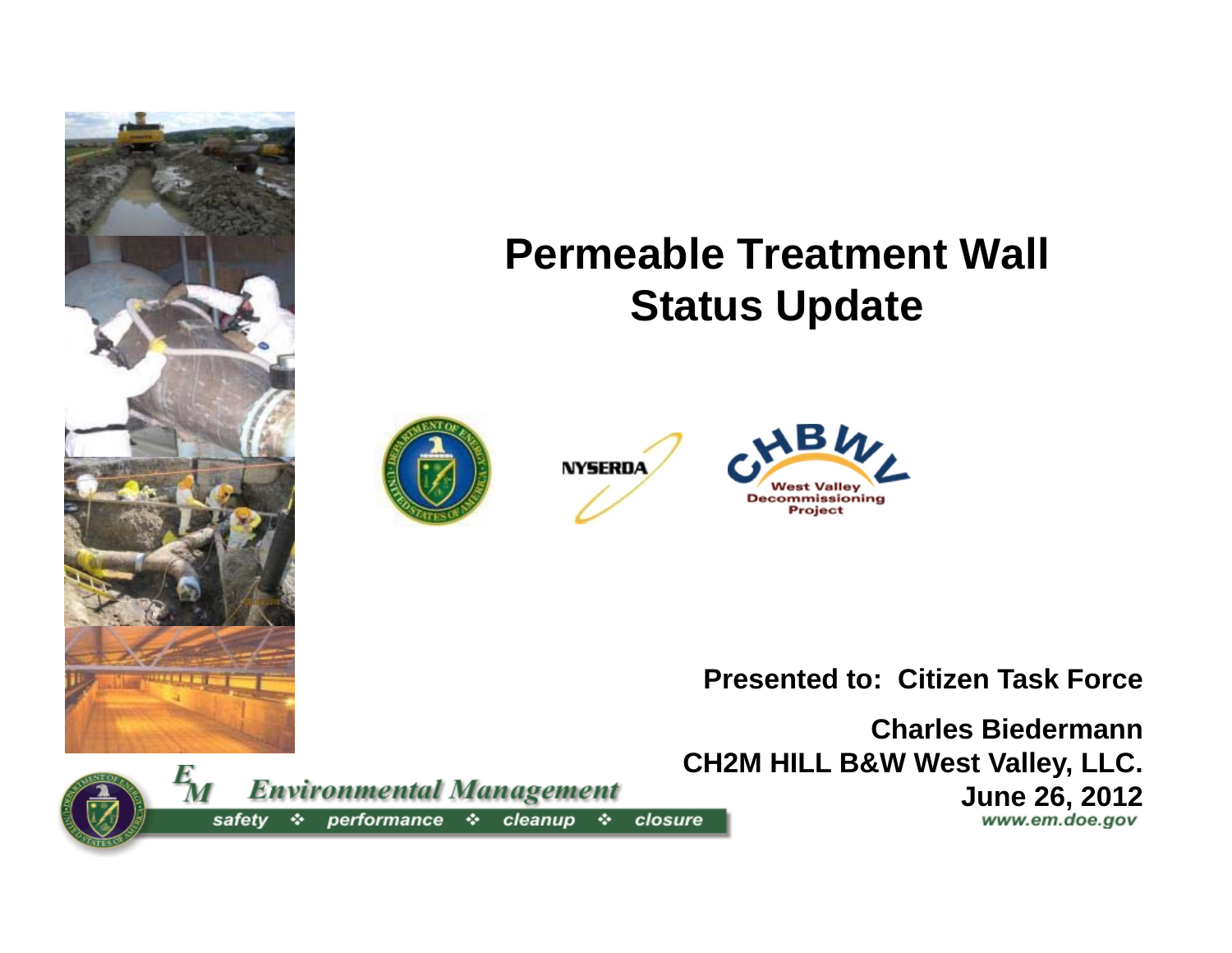









**Presented to: Citizen Task Force**

**Charles BiedermannCH2M HILL B&W West Valley, LLC.** 

**June 26, 2012**

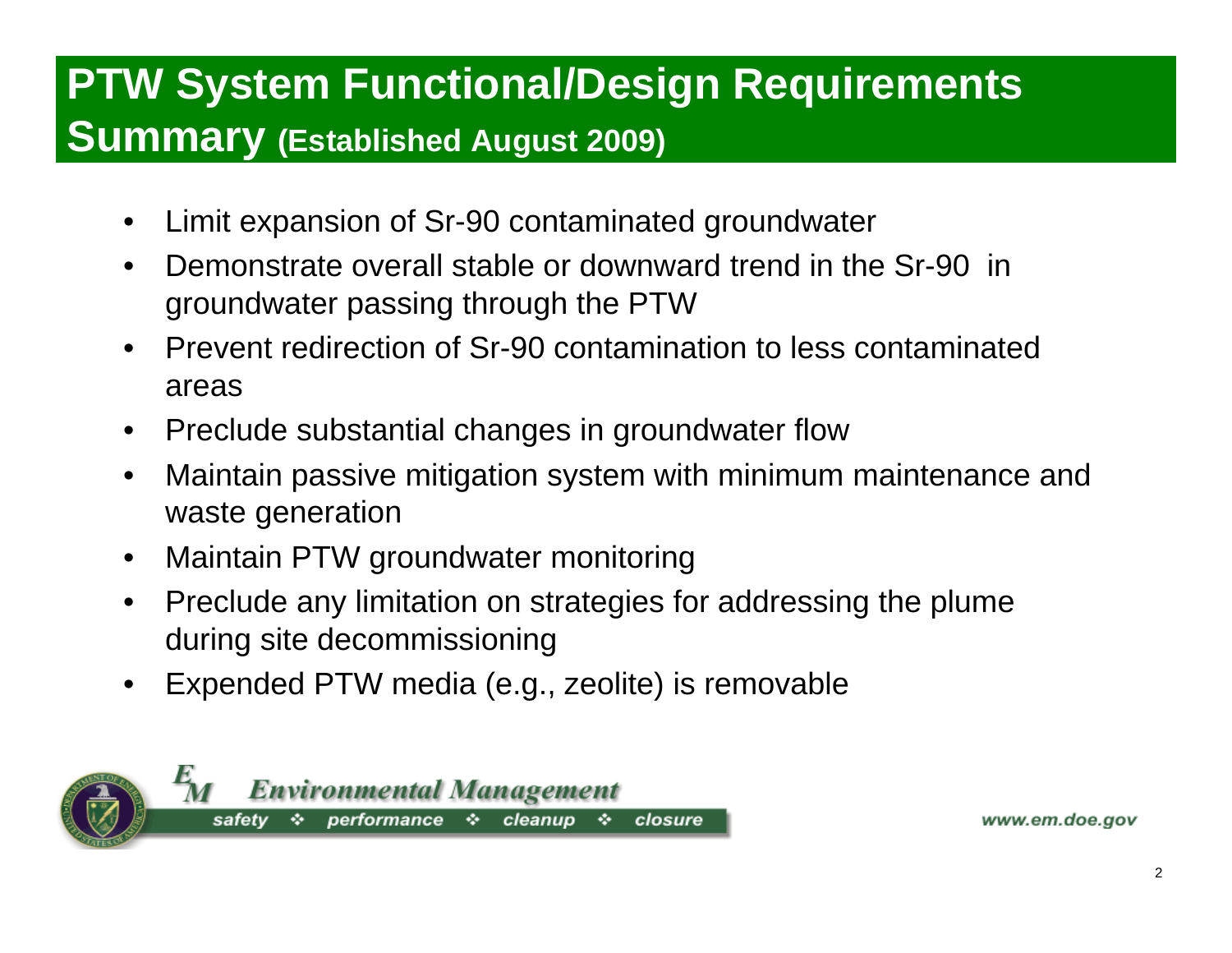#### **PTW System Functional/Design Requirements Summary (Established August 2009)**

- •Limit expansion of Sr-90 contaminated groundwater
- • Demonstrate overall stable or downward trend in the Sr-90 in groundwater passing through the PTW
- • Prevent redirection of Sr-90 contamination to less contaminated areas
- $\bullet$ Preclude substantial changes in groundwater flow
- $\bullet$  Maintain passive mitigation system with minimum maintenance and waste generation
- $\bullet$ Maintain PTW groundwater monitoring
- $\bullet$  Preclude any limitation on strategies for addressing the plume during site decommissioning
- $\bullet$ Expended PTW media (e.g., zeolite) is removable

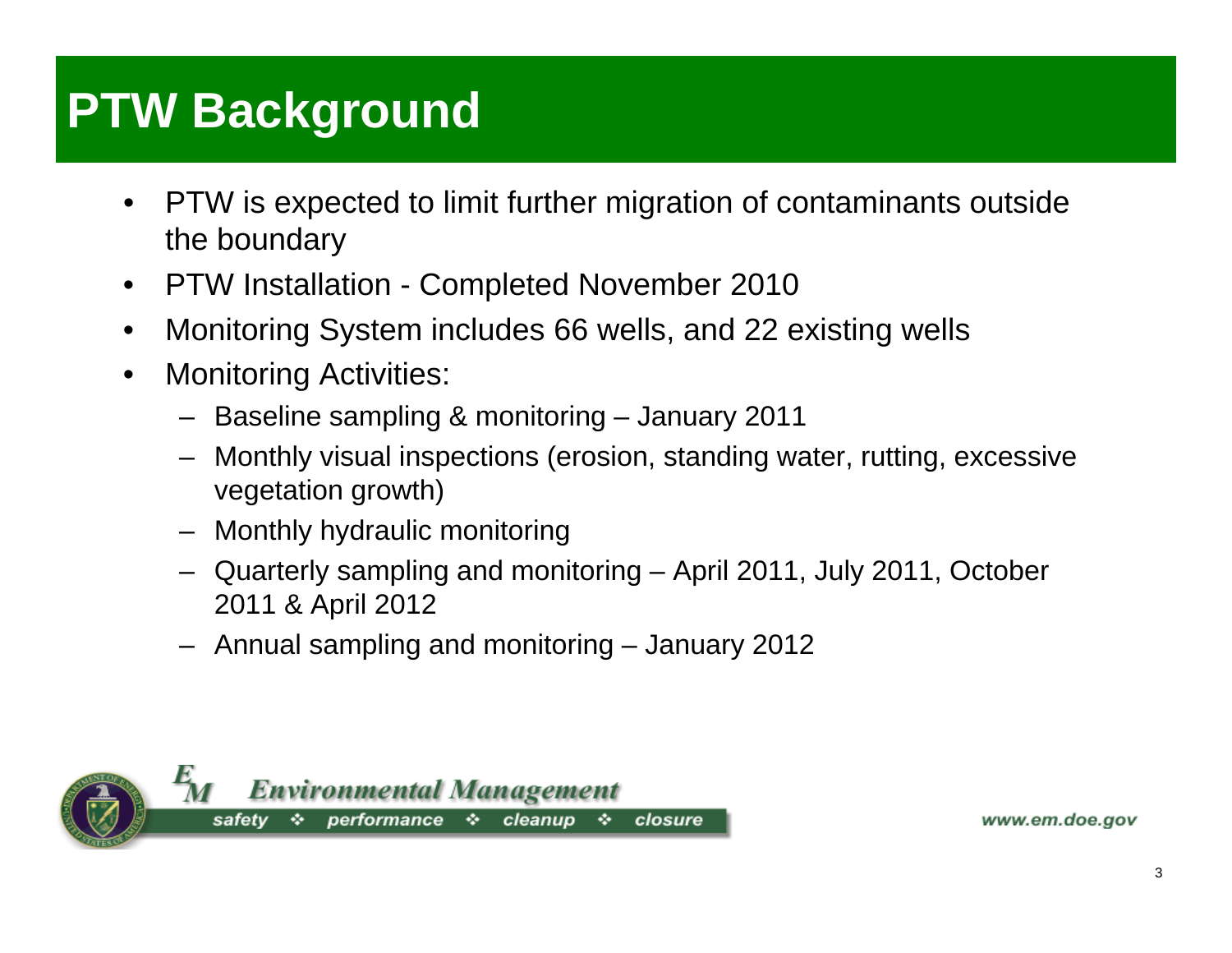# **PTW Background**

- • PTW is expected to limit further migration of contaminants outside the boundary
- $\bullet$ PTW Installation - Completed November 2010
- $\bullet$ Monitoring System includes 66 wells, and 22 existing wells
- • Monitoring Activities:
	- Baseline sampling & monitoring January 2011
	- Monthly visual inspections (erosion, standing water, rutting, excessive vegetation growth)
	- Monthly hydraulic monitoring
	- Quarterly sampling and monitoring April 2011, July 2011, October 2011 & April 2012
	- Annual sampling and monitoring January 2012

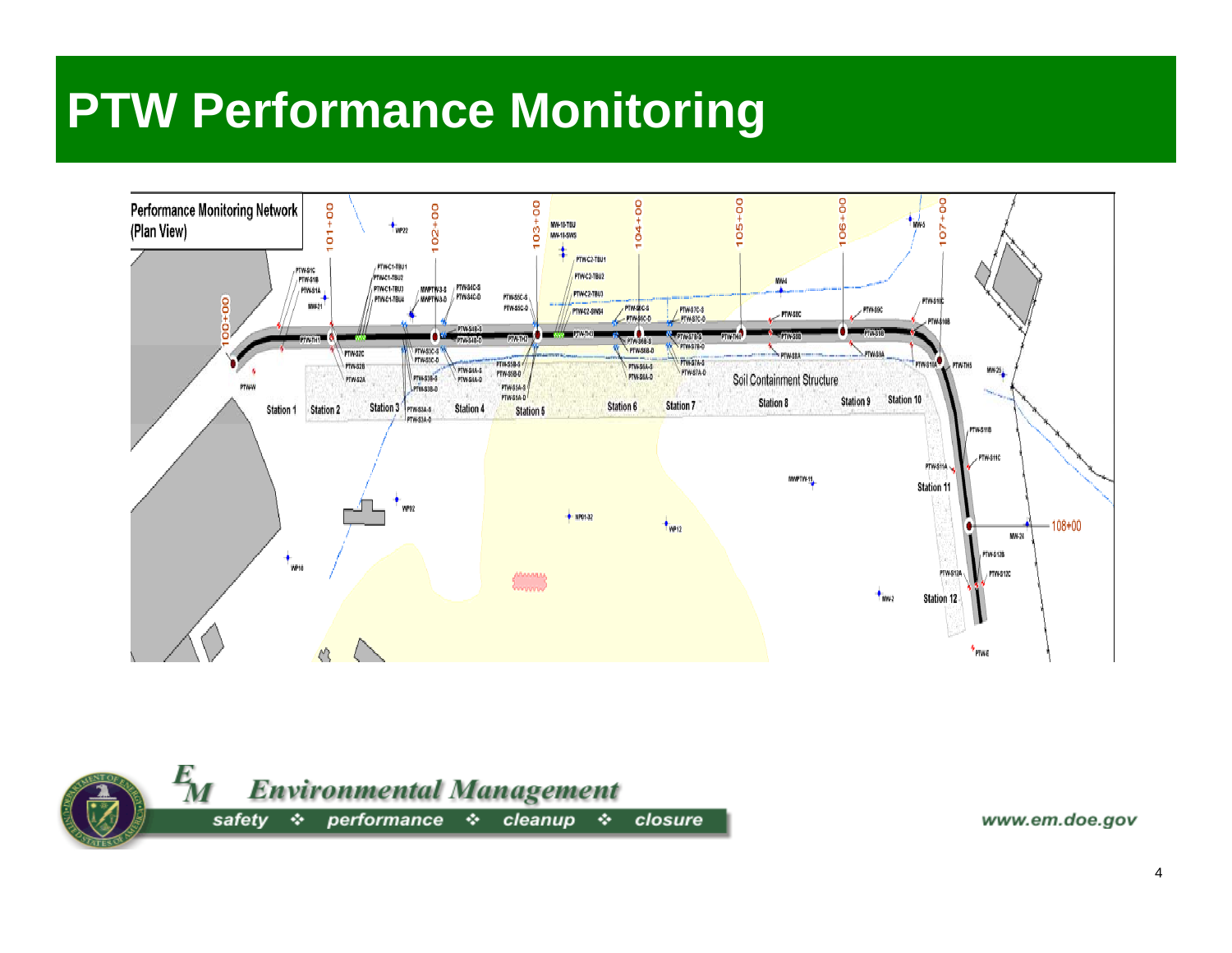### **PTW Performance Monitoring**



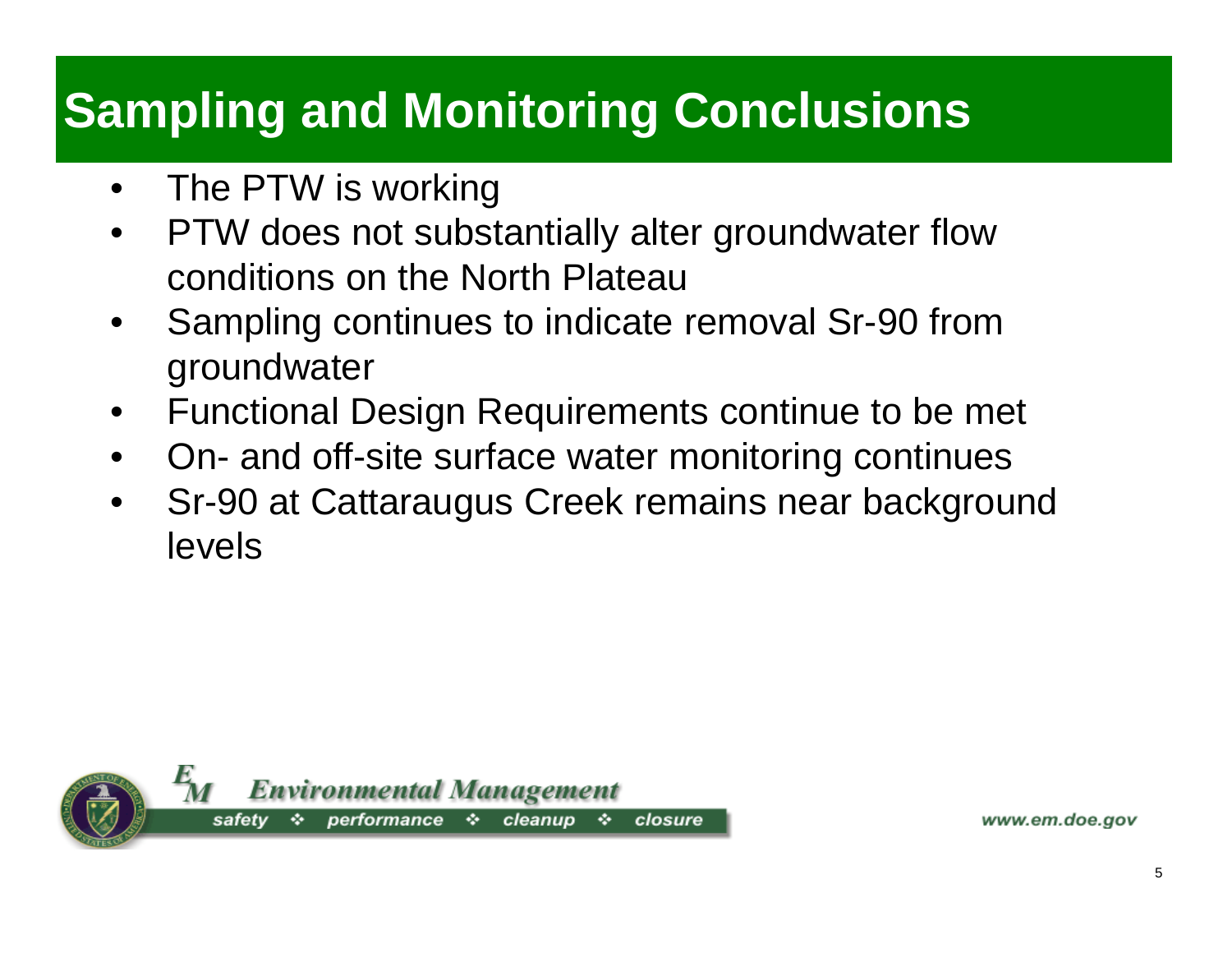# **Sampling and Monitoring Conclusions**

- $\bullet$ The PTW is working
- $\bullet$  PTW does not substantially alter groundwater flow conditions on the North Plateau
- • Sampling continues to indicate removal Sr-90 from groundwater
- $\bullet$ Functional Design Requirements continue to be met
- $\bullet$ On- and off-site surface water monitoring continues
- • Sr-90 at Cattaraugus Creek remains near background levels

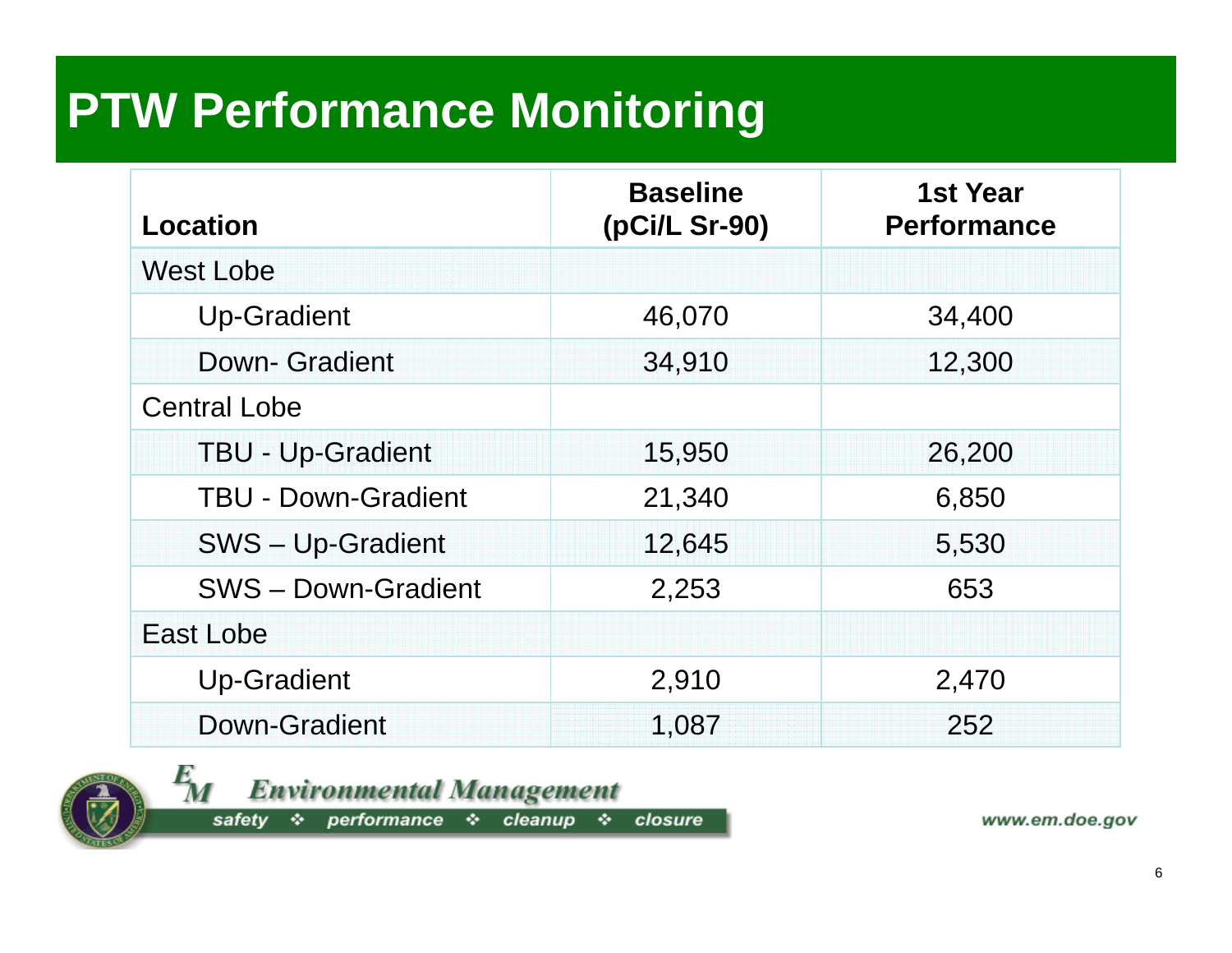# **PTW Performance Monitoring**

| Location                   | <b>Baseline</b><br>(pCi/L Sr-90) | <b>1st Year</b><br><b>Performance</b> |
|----------------------------|----------------------------------|---------------------------------------|
| <b>West Lobe</b>           |                                  |                                       |
| <b>Up-Gradient</b>         | 46,070                           | 34,400                                |
| <b>Down- Gradient</b>      | 34,910                           | 12,300                                |
| <b>Central Lobe</b>        |                                  |                                       |
| <b>TBU - Up-Gradient</b>   | 15,950                           | 26,200                                |
| <b>TBU - Down-Gradient</b> | 21,340                           | 6,850                                 |
| SWS - Up-Gradient          | 12,645                           | 5,530                                 |
| <b>SWS-Down-Gradient</b>   | 2,253                            | 653                                   |
| East Lobe                  |                                  |                                       |
| <b>Up-Gradient</b>         | 2,910                            | 2,470                                 |
| Down-Gradient              | 1,087                            | 252                                   |



 $\frac{E}{M}$ **Environmental Management** 

safety \* performance \* cleanup \* closure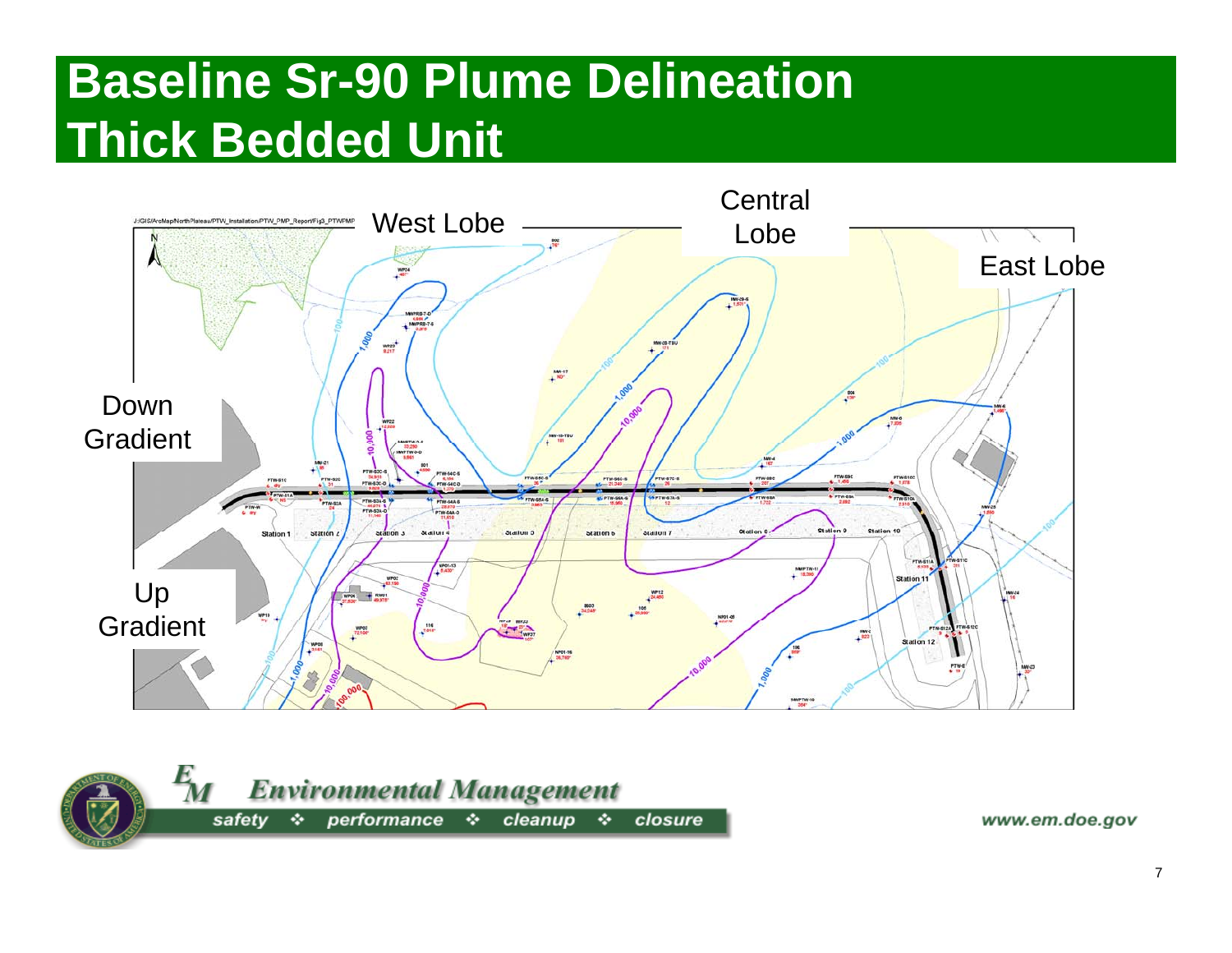## **Baseline Sr-90 Plume Delineation Thick Bedded Unit**



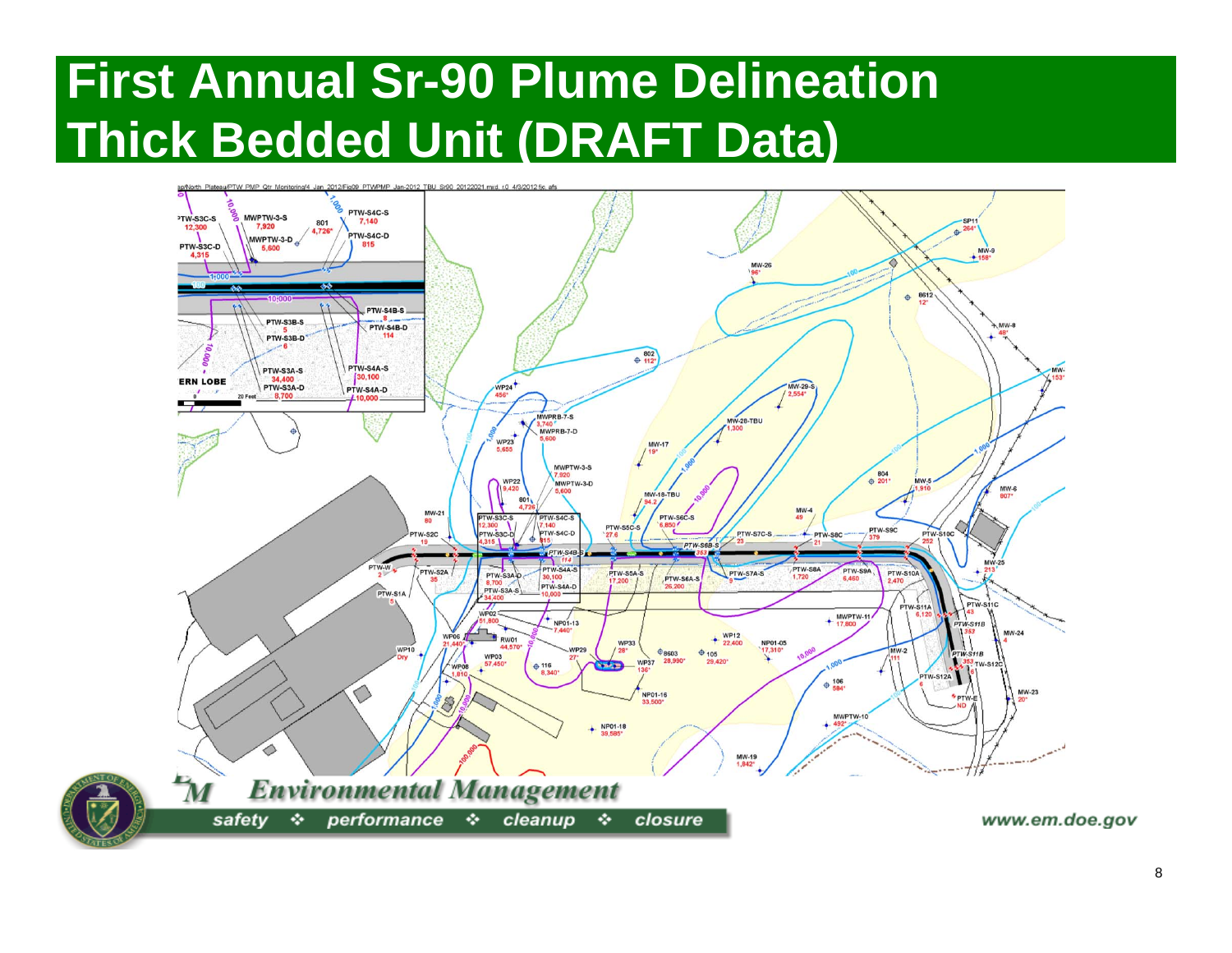## **First Annual Sr-90 Plume Delineation Thick Bedded Unit (DRAFT Data)**

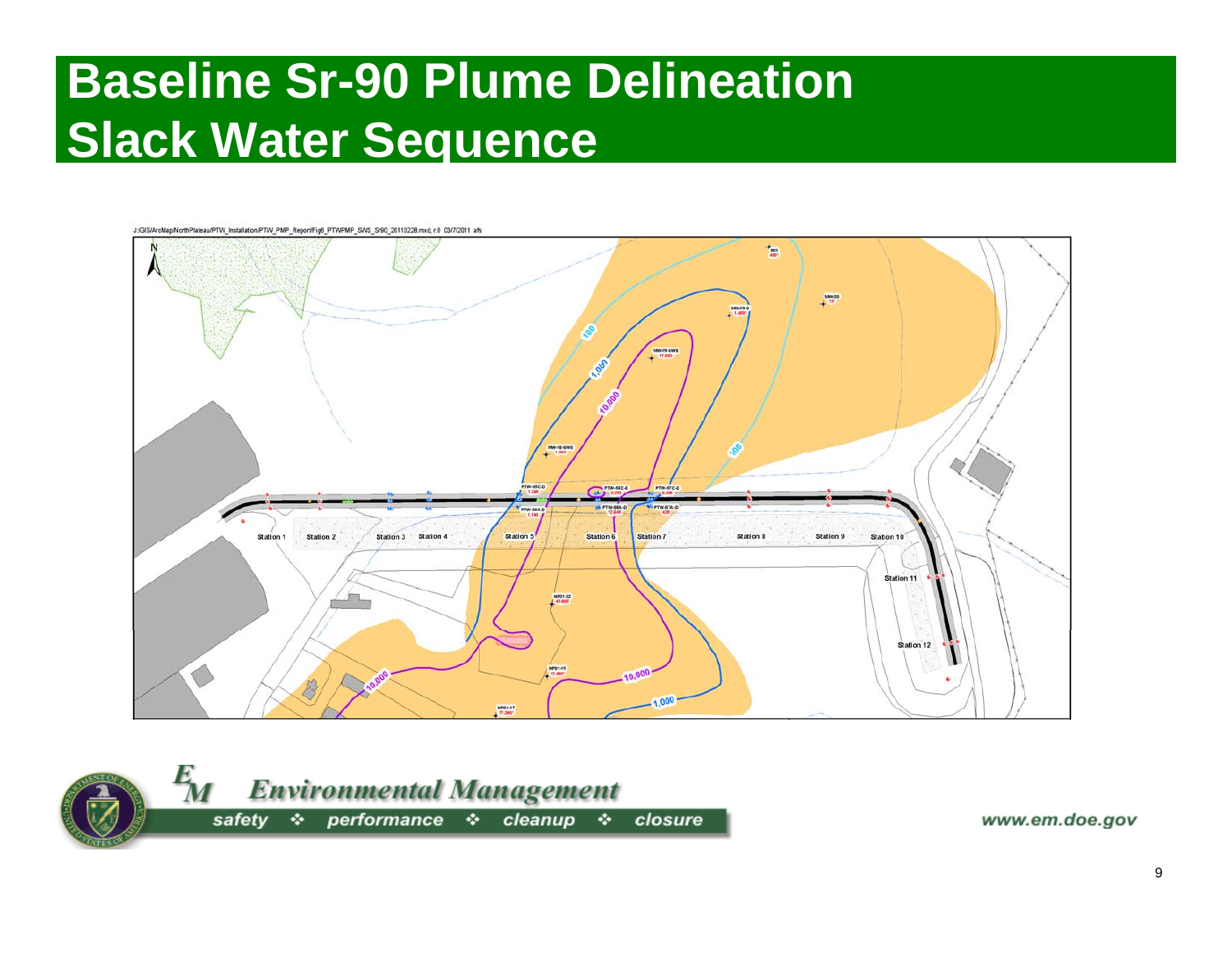#### **Baseline Sr-90 Plume Delineation Slack Water Sequence**



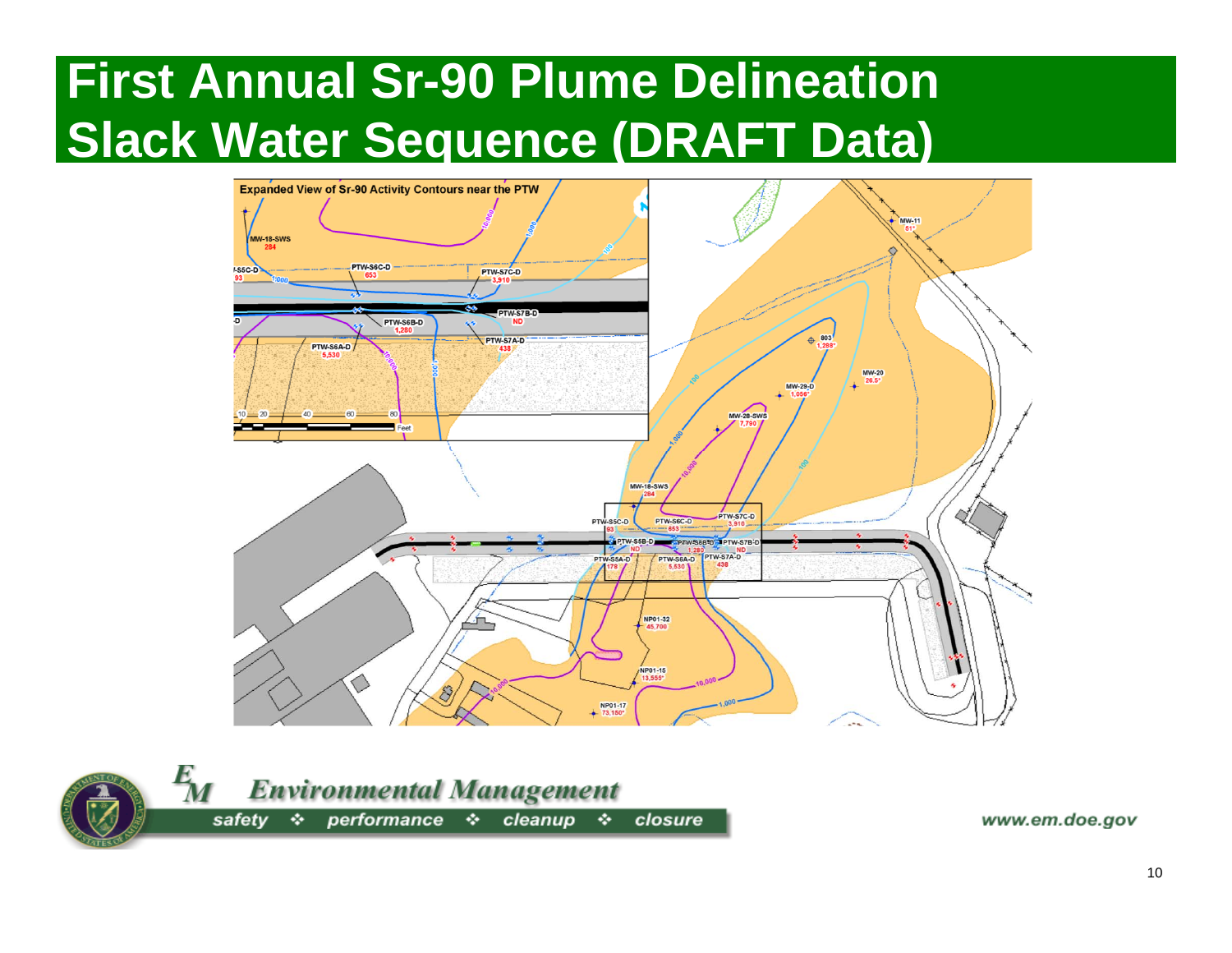## **First Annual Sr-90 Plume Delineation Slack Water Sequence (DRAFT Data)**



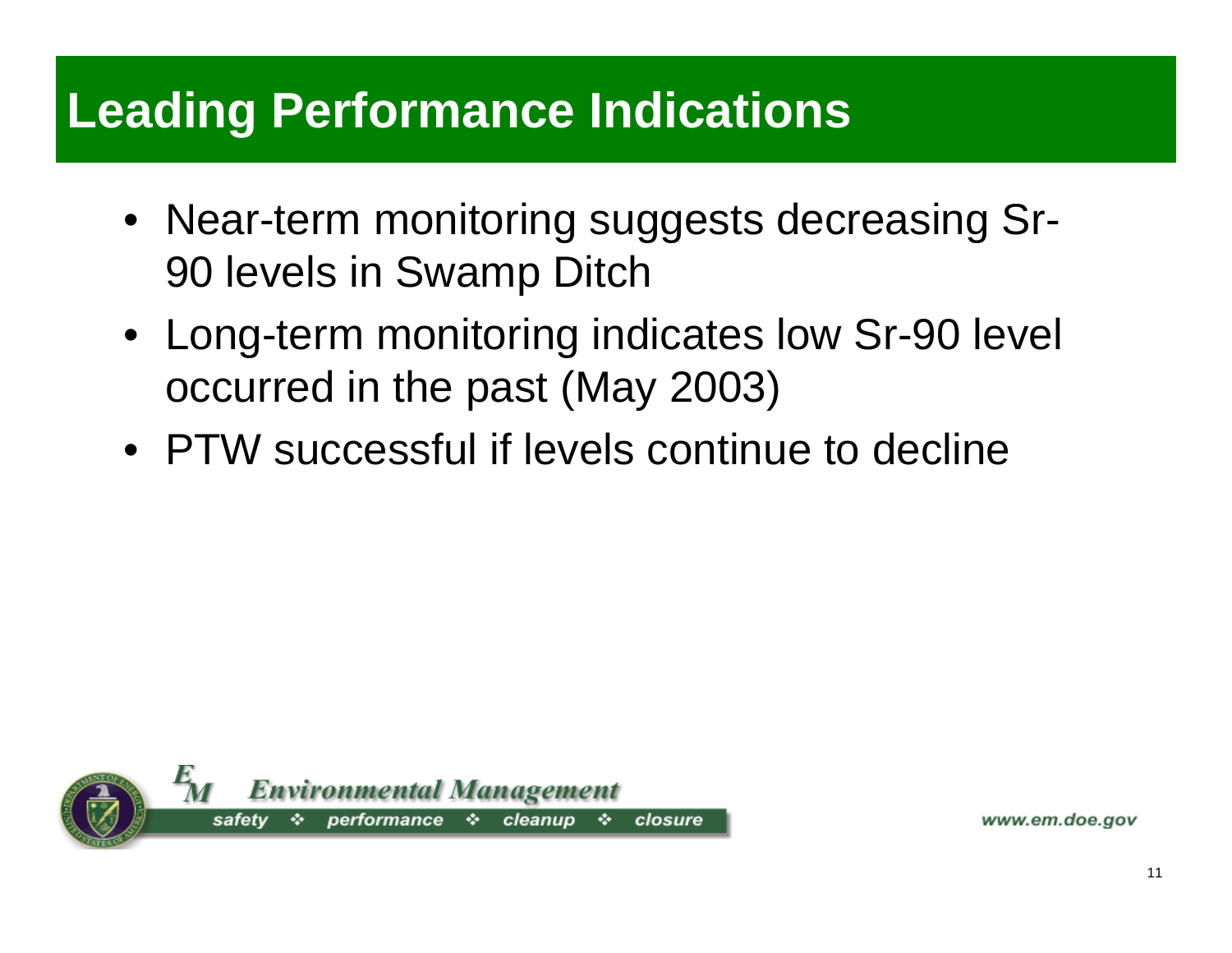#### **Leading Performance Indications**

- Near-term monitoring suggests decreasing Sr-90 levels in Swamp Ditch
- Long-term monitoring indicates low Sr-90 level occurred in the past (May 2003)
- PTW successful if levels continue to decline